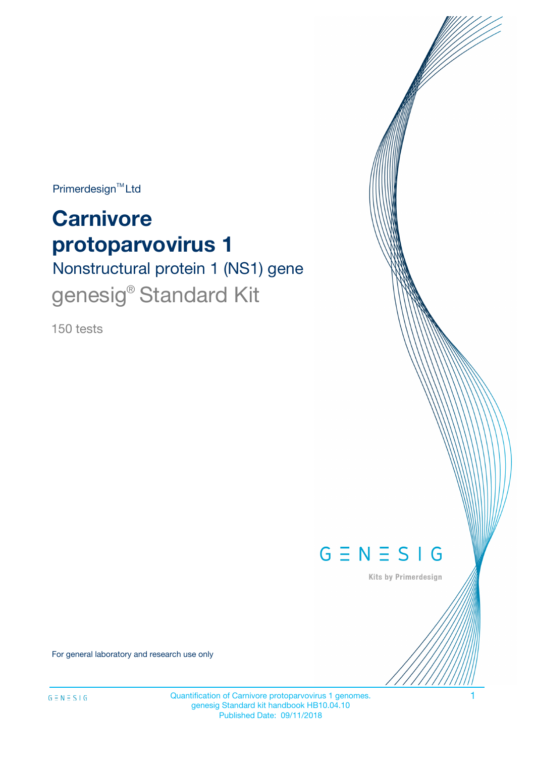$Primerdesign^{\text{TM}}Ltd$ 

# **Carnivore protoparvovirus 1**

Nonstructural protein 1 (NS1) gene genesig<sup>®</sup> Standard Kit

150 tests



Kits by Primerdesign

For general laboratory and research use only

Quantification of Carnivore protoparvovirus 1 genomes. 1 genesig Standard kit handbook HB10.04.10 Published Date: 09/11/2018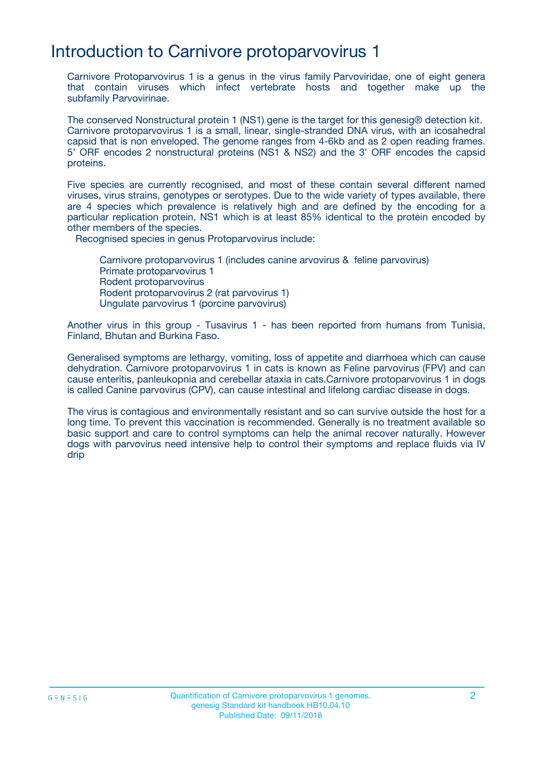### Introduction to Carnivore protoparvovirus 1

Carnivore Protoparvovirus 1 is a genus in the virus family Parvoviridae, one of eight genera that contain viruses which infect vertebrate hosts and together make up the subfamily Parvovirinae.

The conserved Nonstructural protein 1 (NS1) gene is the target for this genesig® detection kit. Carnivore protoparvovirus 1 is a small, linear, single-stranded DNA virus, with an icosahedral capsid that is non enveloped. The genome ranges from 4-6kb and as 2 open reading frames. 5' ORF encodes 2 nonstructural proteins (NS1 & NS2) and the 3' ORF encodes the capsid proteins.

Five species are currently recognised, and most of these contain several different named viruses, virus strains, genotypes or serotypes. Due to the wide variety of types available, there are 4 species which prevalence is relatively high and are defined by the encoding for a particular replication protein, NS1 which is at least 85% identical to the protein encoded by other members of the species.

Recognised species in genus Protoparvovirus include:

Carnivore protoparvovirus 1 (includes canine arvovirus & feline parvovirus) Primate protoparvovirus 1 Rodent protoparvovirus Rodent protoparvovirus 2 (rat parvovirus 1) Ungulate parvovirus 1 (porcine parvovirus)

Another virus in this group - Tusavirus 1 - has been reported from humans from Tunisia, Finland, Bhutan and Burkina Faso.

Generalised symptoms are lethargy, vomiting, loss of appetite and diarrhoea which can cause dehydration. Carnivore protoparvovirus 1 in cats is known as Feline parvovirus (FPV) and can cause enteritis, panleukopnia and cerebellar ataxia in cats.Carnivore protoparvovirus 1 in dogs is called Canine parvovirus (CPV), can cause intestinal and lifelong cardiac disease in dogs.

The virus is contagious and environmentally resistant and so can survive outside the host for a long time. To prevent this vaccination is recommended. Generally is no treatment available so basic support and care to control symptoms can help the animal recover naturally. However dogs with parvovirus need intensive help to control their symptoms and replace fluids via IV drip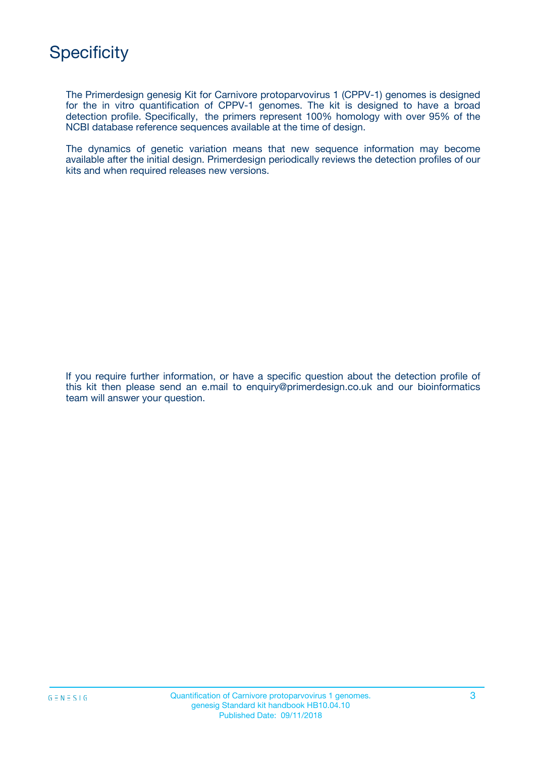

The Primerdesign genesig Kit for Carnivore protoparvovirus 1 (CPPV-1) genomes is designed for the in vitro quantification of CPPV-1 genomes. The kit is designed to have a broad detection profile. Specifically, the primers represent 100% homology with over 95% of the NCBI database reference sequences available at the time of design.

The dynamics of genetic variation means that new sequence information may become available after the initial design. Primerdesign periodically reviews the detection profiles of our kits and when required releases new versions.

If you require further information, or have a specific question about the detection profile of this kit then please send an e.mail to enquiry@primerdesign.co.uk and our bioinformatics team will answer your question.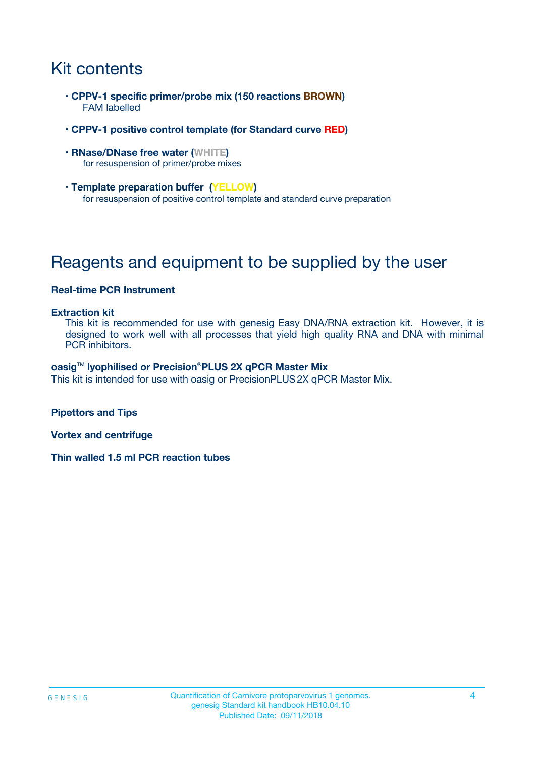# Kit contents

- **CPPV-1 specific primer/probe mix (150 reactions BROWN)** FAM labelled
- **CPPV-1 positive control template (for Standard curve RED)**
- **RNase/DNase free water (WHITE)** for resuspension of primer/probe mixes
- **Template preparation buffer (YELLOW)** for resuspension of positive control template and standard curve preparation

# Reagents and equipment to be supplied by the user

#### **Real-time PCR Instrument**

#### **Extraction kit**

This kit is recommended for use with genesig Easy DNA/RNA extraction kit. However, it is designed to work well with all processes that yield high quality RNA and DNA with minimal PCR inhibitors.

#### **oasig**TM **lyophilised or Precision**®**PLUS 2X qPCR Master Mix**

This kit is intended for use with oasig or PrecisionPLUS2X qPCR Master Mix.

**Pipettors and Tips**

**Vortex and centrifuge**

**Thin walled 1.5 ml PCR reaction tubes**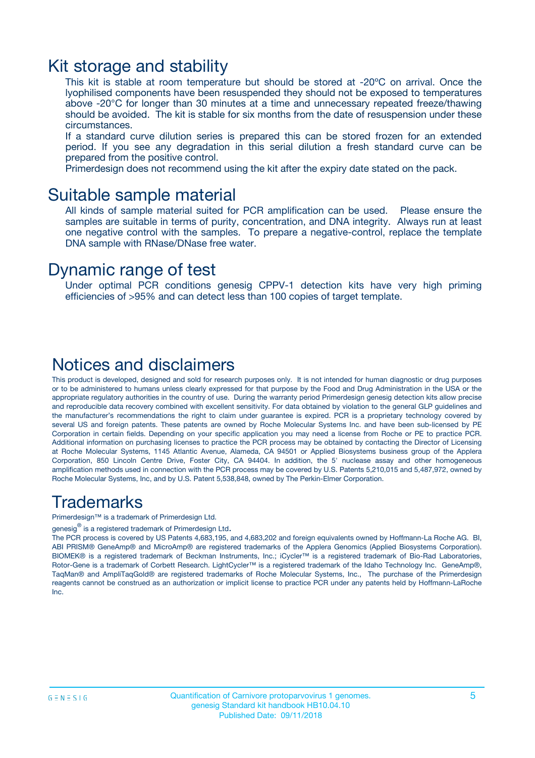### Kit storage and stability

This kit is stable at room temperature but should be stored at -20ºC on arrival. Once the lyophilised components have been resuspended they should not be exposed to temperatures above -20°C for longer than 30 minutes at a time and unnecessary repeated freeze/thawing should be avoided. The kit is stable for six months from the date of resuspension under these circumstances.

If a standard curve dilution series is prepared this can be stored frozen for an extended period. If you see any degradation in this serial dilution a fresh standard curve can be prepared from the positive control.

Primerdesign does not recommend using the kit after the expiry date stated on the pack.

### Suitable sample material

All kinds of sample material suited for PCR amplification can be used. Please ensure the samples are suitable in terms of purity, concentration, and DNA integrity. Always run at least one negative control with the samples. To prepare a negative-control, replace the template DNA sample with RNase/DNase free water.

### Dynamic range of test

Under optimal PCR conditions genesig CPPV-1 detection kits have very high priming efficiencies of >95% and can detect less than 100 copies of target template.

### Notices and disclaimers

This product is developed, designed and sold for research purposes only. It is not intended for human diagnostic or drug purposes or to be administered to humans unless clearly expressed for that purpose by the Food and Drug Administration in the USA or the appropriate regulatory authorities in the country of use. During the warranty period Primerdesign genesig detection kits allow precise and reproducible data recovery combined with excellent sensitivity. For data obtained by violation to the general GLP guidelines and the manufacturer's recommendations the right to claim under guarantee is expired. PCR is a proprietary technology covered by several US and foreign patents. These patents are owned by Roche Molecular Systems Inc. and have been sub-licensed by PE Corporation in certain fields. Depending on your specific application you may need a license from Roche or PE to practice PCR. Additional information on purchasing licenses to practice the PCR process may be obtained by contacting the Director of Licensing at Roche Molecular Systems, 1145 Atlantic Avenue, Alameda, CA 94501 or Applied Biosystems business group of the Applera Corporation, 850 Lincoln Centre Drive, Foster City, CA 94404. In addition, the 5' nuclease assay and other homogeneous amplification methods used in connection with the PCR process may be covered by U.S. Patents 5,210,015 and 5,487,972, owned by Roche Molecular Systems, Inc, and by U.S. Patent 5,538,848, owned by The Perkin-Elmer Corporation.

### Trademarks

Primerdesign™ is a trademark of Primerdesign Ltd.

genesig $^\circledR$  is a registered trademark of Primerdesign Ltd.

The PCR process is covered by US Patents 4,683,195, and 4,683,202 and foreign equivalents owned by Hoffmann-La Roche AG. BI, ABI PRISM® GeneAmp® and MicroAmp® are registered trademarks of the Applera Genomics (Applied Biosystems Corporation). BIOMEK® is a registered trademark of Beckman Instruments, Inc.; iCycler™ is a registered trademark of Bio-Rad Laboratories, Rotor-Gene is a trademark of Corbett Research. LightCycler™ is a registered trademark of the Idaho Technology Inc. GeneAmp®, TaqMan® and AmpliTaqGold® are registered trademarks of Roche Molecular Systems, Inc., The purchase of the Primerdesign reagents cannot be construed as an authorization or implicit license to practice PCR under any patents held by Hoffmann-LaRoche Inc.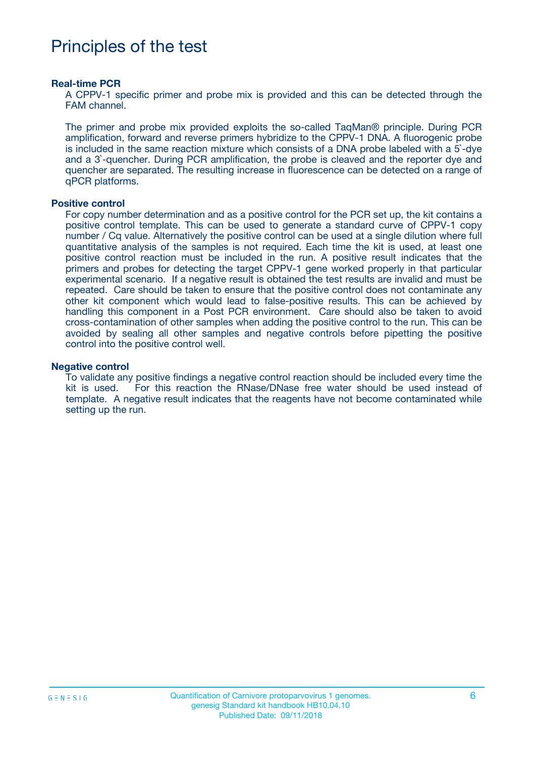# Principles of the test

#### **Real-time PCR**

A CPPV-1 specific primer and probe mix is provided and this can be detected through the FAM channel.

The primer and probe mix provided exploits the so-called TaqMan® principle. During PCR amplification, forward and reverse primers hybridize to the CPPV-1 DNA. A fluorogenic probe is included in the same reaction mixture which consists of a DNA probe labeled with a 5`-dye and a 3`-quencher. During PCR amplification, the probe is cleaved and the reporter dye and quencher are separated. The resulting increase in fluorescence can be detected on a range of qPCR platforms.

#### **Positive control**

For copy number determination and as a positive control for the PCR set up, the kit contains a positive control template. This can be used to generate a standard curve of CPPV-1 copy number / Cq value. Alternatively the positive control can be used at a single dilution where full quantitative analysis of the samples is not required. Each time the kit is used, at least one positive control reaction must be included in the run. A positive result indicates that the primers and probes for detecting the target CPPV-1 gene worked properly in that particular experimental scenario. If a negative result is obtained the test results are invalid and must be repeated. Care should be taken to ensure that the positive control does not contaminate any other kit component which would lead to false-positive results. This can be achieved by handling this component in a Post PCR environment. Care should also be taken to avoid cross-contamination of other samples when adding the positive control to the run. This can be avoided by sealing all other samples and negative controls before pipetting the positive control into the positive control well.

#### **Negative control**

To validate any positive findings a negative control reaction should be included every time the kit is used. For this reaction the RNase/DNase free water should be used instead of template. A negative result indicates that the reagents have not become contaminated while setting up the run.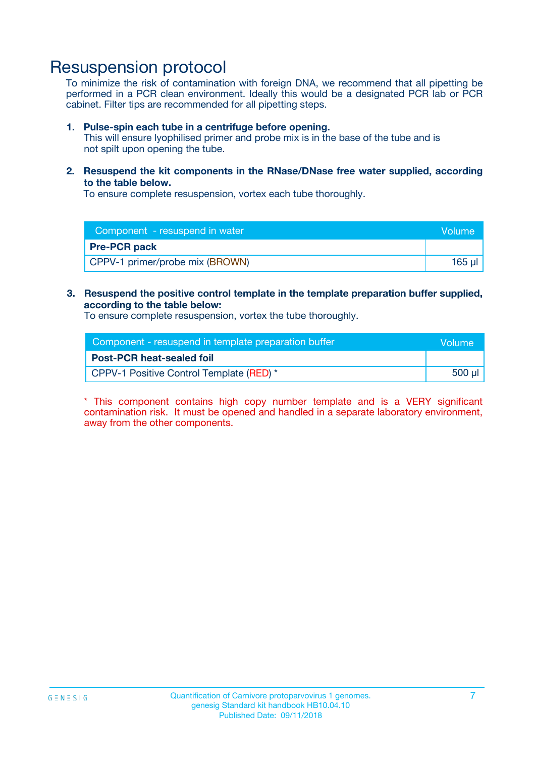## Resuspension protocol

To minimize the risk of contamination with foreign DNA, we recommend that all pipetting be performed in a PCR clean environment. Ideally this would be a designated PCR lab or PCR cabinet. Filter tips are recommended for all pipetting steps.

#### **1. Pulse-spin each tube in a centrifuge before opening.**

This will ensure lyophilised primer and probe mix is in the base of the tube and is not spilt upon opening the tube.

**2. Resuspend the kit components in the RNase/DNase free water supplied, according to the table below.**

To ensure complete resuspension, vortex each tube thoroughly.

| Component - resuspend in water  | Volume   |
|---------------------------------|----------|
| <b>Pre-PCR pack</b>             |          |
| CPPV-1 primer/probe mix (BROWN) | $165$ µl |

### **3. Resuspend the positive control template in the template preparation buffer supplied, according to the table below:**

To ensure complete resuspension, vortex the tube thoroughly.

| Component - resuspend in template preparation buffer |         |  |
|------------------------------------------------------|---------|--|
| <b>Post-PCR heat-sealed foil</b>                     |         |  |
| CPPV-1 Positive Control Template (RED) *             | $500$ µ |  |

\* This component contains high copy number template and is a VERY significant contamination risk. It must be opened and handled in a separate laboratory environment, away from the other components.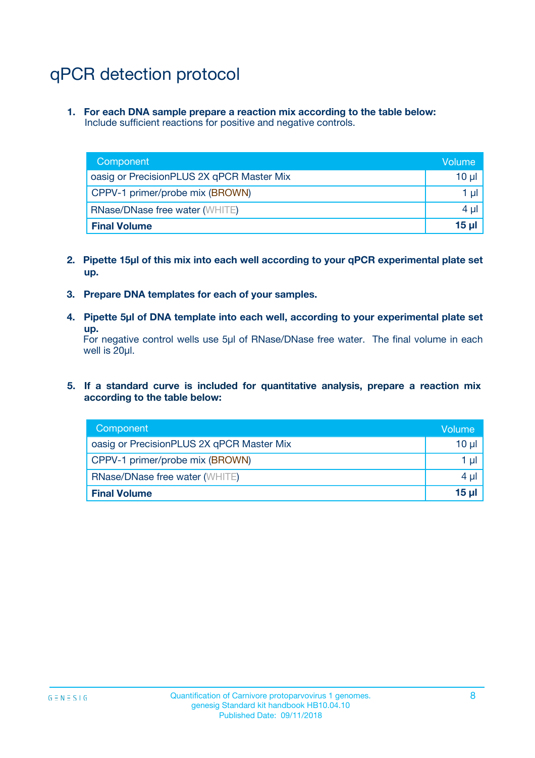# qPCR detection protocol

**1. For each DNA sample prepare a reaction mix according to the table below:** Include sufficient reactions for positive and negative controls.

| Component                                 | Volume          |
|-------------------------------------------|-----------------|
| oasig or PrecisionPLUS 2X qPCR Master Mix | 10 $\mu$        |
| CPPV-1 primer/probe mix (BROWN)           | 1 $\mu$         |
| <b>RNase/DNase free water (WHITE)</b>     | $4 \mu$         |
| <b>Final Volume</b>                       | 15 <sub>µ</sub> |

- **2. Pipette 15µl of this mix into each well according to your qPCR experimental plate set up.**
- **3. Prepare DNA templates for each of your samples.**
- **4. Pipette 5µl of DNA template into each well, according to your experimental plate set up.**

For negative control wells use 5µl of RNase/DNase free water. The final volume in each well is 20µl.

**5. If a standard curve is included for quantitative analysis, prepare a reaction mix according to the table below:**

| Component                                 | Volume  |
|-------------------------------------------|---------|
| oasig or PrecisionPLUS 2X qPCR Master Mix | 10 µl   |
| CPPV-1 primer/probe mix (BROWN)           | 1 µI    |
| <b>RNase/DNase free water (WHITE)</b>     | $4 \mu$ |
| <b>Final Volume</b>                       | 15 µl   |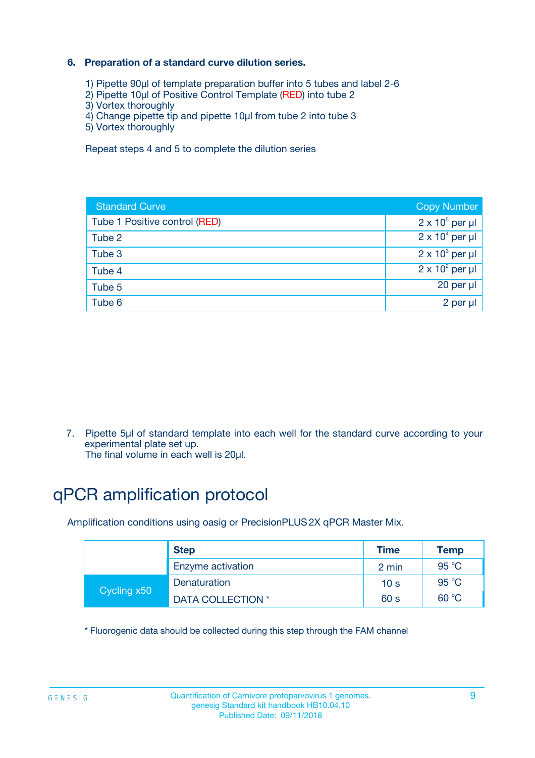### **6. Preparation of a standard curve dilution series.**

- 1) Pipette 90µl of template preparation buffer into 5 tubes and label 2-6
- 2) Pipette 10µl of Positive Control Template (RED) into tube 2
- 3) Vortex thoroughly
- 4) Change pipette tip and pipette 10µl from tube 2 into tube 3
- 5) Vortex thoroughly

Repeat steps 4 and 5 to complete the dilution series

| <b>Standard Curve</b>         | <b>Copy Number</b>     |
|-------------------------------|------------------------|
| Tube 1 Positive control (RED) | $2 \times 10^5$ per µl |
| Tube 2                        | $2 \times 10^4$ per µl |
| Tube 3                        | $2 \times 10^3$ per µl |
| Tube 4                        | $2 \times 10^2$ per µl |
| Tube 5                        | 20 per µl              |
| Tube 6                        | 2 per ul               |

7. Pipette 5µl of standard template into each well for the standard curve according to your experimental plate set up.

The final volume in each well is 20µl.

# qPCR amplification protocol

Amplification conditions using oasig or PrecisionPLUS2X qPCR Master Mix.

|             | <b>Step</b>       | <b>Time</b>     | Temp    |
|-------------|-------------------|-----------------|---------|
|             | Enzyme activation | 2 min           | 95 °C   |
| Cycling x50 | Denaturation      | 10 <sub>s</sub> | 95 $°C$ |
|             | DATA COLLECTION * | 60 s            | 60 °C   |

\* Fluorogenic data should be collected during this step through the FAM channel